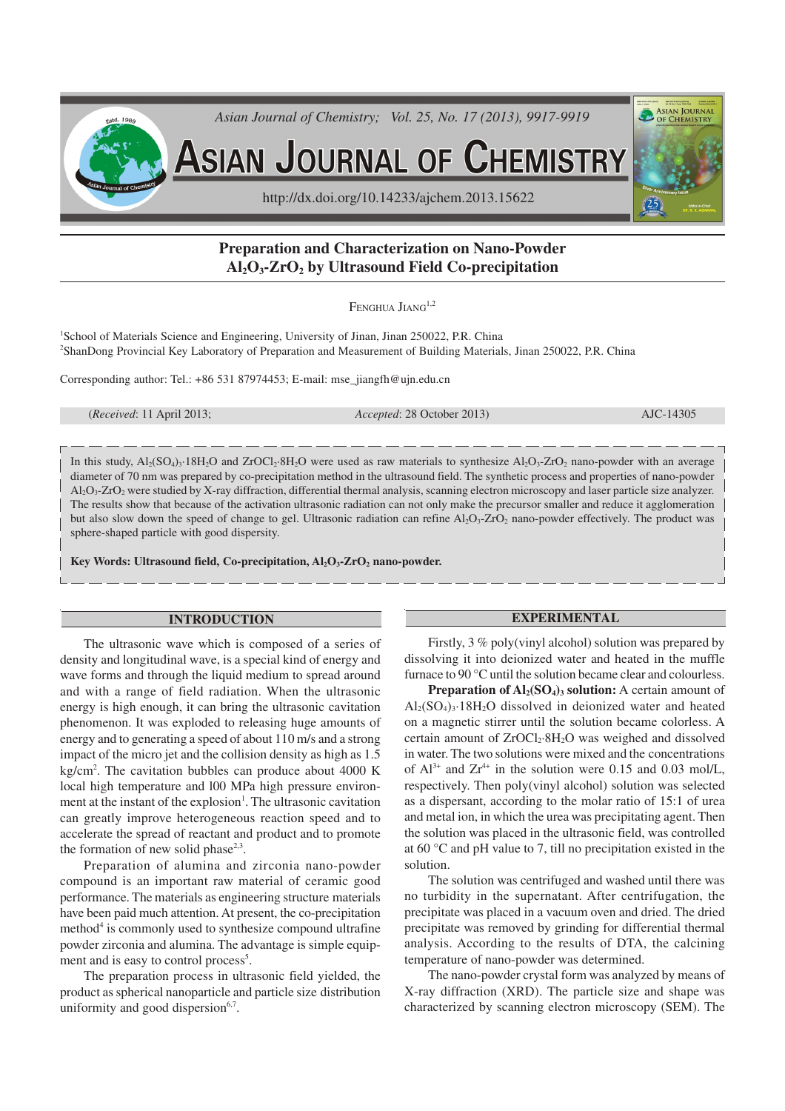

# **Preparation and Characterization on Nano-Powder Al2O3-ZrO2 by Ultrasound Field Co-precipitation**

FENGHUA JIANG<sup>1,2</sup>

<sup>1</sup>School of Materials Science and Engineering, University of Jinan, Jinan 250022, P.R. China <sup>2</sup>ShanDong Provincial Key Laboratory of Preparation and Measurement of Building Materials, Jinan 250022, P.R. China

Corresponding author: Tel.: +86 531 87974453; E-mail: mse\_jiangfh@ujn.edu.cn

|  | ( <i>Received:</i> 11 April 2013; |  |
|--|-----------------------------------|--|
|--|-----------------------------------|--|

*Accepted*: 28 October 2013) **AJC-14305** 

In this study,  $Al_2(SO_4)_3.18H_2O$  and  $ZrOCl_2.8H_2O$  were used as raw materials to synthesize  $Al_2O_3$ - $ZrO_2$  nano-powder with an average diameter of 70 nm was prepared by co-precipitation method in the ultrasound field. The synthetic process and properties of nano-powder Al2O3-ZrO2 were studied by X-ray diffraction, differential thermal analysis, scanning electron microscopy and laser particle size analyzer. The results show that because of the activation ultrasonic radiation can not only make the precursor smaller and reduce it agglomeration but also slow down the speed of change to gel. Ultrasonic radiation can refine Al<sub>2</sub>O<sub>3</sub>-ZrO<sub>2</sub> nano-powder effectively. The product was sphere-shaped particle with good dispersity.

**Key Words: Ultrasound field, Co-precipitation, Al2O3-ZrO2 nano-powder.**

### **INTRODUCTION**

The ultrasonic wave which is composed of a series of density and longitudinal wave, is a special kind of energy and wave forms and through the liquid medium to spread around and with a range of field radiation. When the ultrasonic energy is high enough, it can bring the ultrasonic cavitation phenomenon. It was exploded to releasing huge amounts of energy and to generating a speed of about 110 m/s and a strong impact of the micro jet and the collision density as high as 1.5 kg/cm<sup>2</sup> . The cavitation bubbles can produce about 4000 K local high temperature and l00 MPa high pressure environment at the instant of the explosion<sup>1</sup>. The ultrasonic cavitation can greatly improve heterogeneous reaction speed and to accelerate the spread of reactant and product and to promote the formation of new solid phase<sup>2,3</sup>.

Preparation of alumina and zirconia nano-powder compound is an important raw material of ceramic good performance. The materials as engineering structure materials have been paid much attention. At present, the co-precipitation method<sup>4</sup> is commonly used to synthesize compound ultrafine powder zirconia and alumina. The advantage is simple equipment and is easy to control process<sup>5</sup>.

The preparation process in ultrasonic field yielded, the product as spherical nanoparticle and particle size distribution uniformity and good dispersion<sup>6,7</sup>.

#### **EXPERIMENTAL**

Firstly, 3 % poly(vinyl alcohol) solution was prepared by dissolving it into deionized water and heated in the muffle furnace to 90 °C until the solution became clear and colourless.

**Preparation of Al2(SO4)3 solution:** A certain amount of  $Al_2(SO_4)$ <sup>3</sup> · 18H<sub>2</sub>O dissolved in deionized water and heated on a magnetic stirrer until the solution became colorless. A certain amount of  $ZrOCl<sub>2</sub>·8H<sub>2</sub>O$  was weighed and dissolved in water. The two solutions were mixed and the concentrations of  $Al^{3+}$  and  $Zr^{4+}$  in the solution were 0.15 and 0.03 mol/L, respectively. Then poly(vinyl alcohol) solution was selected as a dispersant, according to the molar ratio of 15:1 of urea and metal ion, in which the urea was precipitating agent. Then the solution was placed in the ultrasonic field, was controlled at 60 °C and pH value to 7, till no precipitation existed in the solution.

The solution was centrifuged and washed until there was no turbidity in the supernatant. After centrifugation, the precipitate was placed in a vacuum oven and dried. The dried precipitate was removed by grinding for differential thermal analysis. According to the results of DTA, the calcining temperature of nano-powder was determined.

The nano-powder crystal form was analyzed by means of X-ray diffraction (XRD). The particle size and shape was characterized by scanning electron microscopy (SEM). The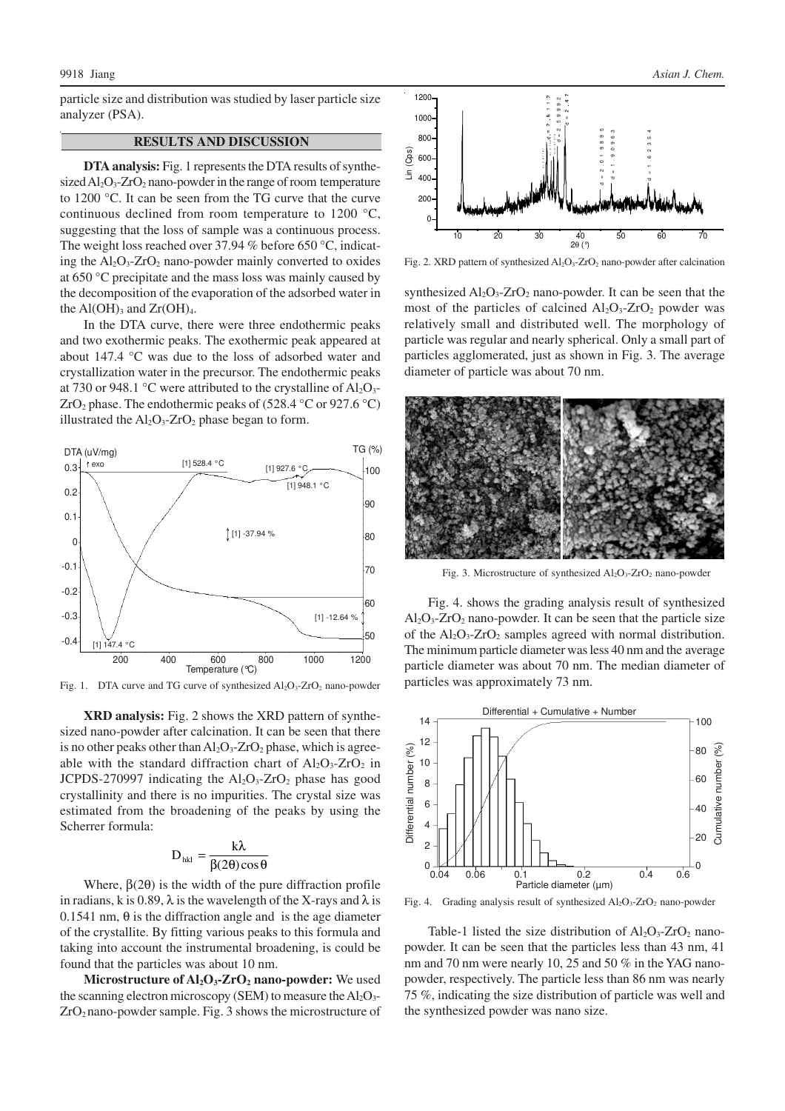particle size and distribution was studied by laser particle size analyzer (PSA).

## **RESULTS AND DISCUSSION**

**DTA analysis:**Fig. 1 represents the DTA results of synthesized  $Al_2O_3$ -ZrO<sub>2</sub> nano-powder in the range of room temperature to 1200 °C. It can be seen from the TG curve that the curve continuous declined from room temperature to 1200 °C, suggesting that the loss of sample was a continuous process. The weight loss reached over 37.94 % before 650 °C, indicating the  $Al_2O_3$ - $ZrO_2$  nano-powder mainly converted to oxides at 650 °C precipitate and the mass loss was mainly caused by the decomposition of the evaporation of the adsorbed water in the  $Al(OH)_{3}$  and  $Zr(OH)_{4}$ .

In the DTA curve, there were three endothermic peaks and two exothermic peaks. The exothermic peak appeared at about 147.4 °C was due to the loss of adsorbed water and crystallization water in the precursor. The endothermic peaks at 730 or 948.1 °C were attributed to the crystalline of  $Al_2O_3$ -ZrO<sub>2</sub> phase. The endothermic peaks of (528.4 °C or 927.6 °C) illustrated the  $Al_2O_3$ -ZrO<sub>2</sub> phase began to form.



Fig. 1. DTA curve and TG curve of synthesized  $Al_2O_3$ -ZrO<sub>2</sub> nano-powder

**XRD analysis:** Fig. 2 shows the XRD pattern of synthesized nano-powder after calcination. It can be seen that there is no other peaks other than  $Al_2O_3$ - $ZrO_2$  phase, which is agreeable with the standard diffraction chart of  $Al_2O_3$ -ZrO<sub>2</sub> in JCPDS-270997 indicating the  $Al_2O_3$ -ZrO<sub>2</sub> phase has good crystallinity and there is no impurities. The crystal size was estimated from the broadening of the peaks by using the Scherrer formula:

$$
D_{hkl} = \frac{k\lambda}{\beta(2\theta)\cos\theta}
$$

Where,  $\beta(2\theta)$  is the width of the pure diffraction profile in radians, k is 0.89,  $\lambda$  is the wavelength of the X-rays and  $\lambda$  is 0.1541 nm,  $\theta$  is the diffraction angle and is the age diameter of the crystallite. By fitting various peaks to this formula and taking into account the instrumental broadening, is could be found that the particles was about 10 nm.

**Microstructure of Al2O3-ZrO2 nano-powder:** We used the scanning electron microscopy (SEM) to measure the  $Al_2O_3$ - $ZrO<sub>2</sub>$  nano-powder sample. Fig. 3 shows the microstructure of



Fig. 2. XRD pattern of synthesized  $Al_2O_3$ -ZrO<sub>2</sub> nano-powder after calcination

synthesized  $Al_2O_3$ -ZrO<sub>2</sub> nano-powder. It can be seen that the most of the particles of calcined  $Al_2O_3$ -ZrO<sub>2</sub> powder was relatively small and distributed well. The morphology of particle was regular and nearly spherical. Only a small part of particles agglomerated, just as shown in Fig. 3. The average diameter of particle was about 70 nm.



Fig. 3. Microstructure of synthesized  $Al_2O_3$ -ZrO<sub>2</sub> nano-powder

Fig. 4. shows the grading analysis result of synthesized  $Al_2O_3$ - $ZrO_2$  nano-powder. It can be seen that the particle size of the  $Al_2O_3$ - $ZrO_2$  samples agreed with normal distribution. The minimum particle diameter was less 40 nm and the average particle diameter was about 70 nm. The median diameter of particles was approximately 73 nm.



Fig. 4. Grading analysis result of synthesized Al<sub>2</sub>O<sub>3</sub>-ZrO<sub>2</sub> nano-powder

Table-1 listed the size distribution of  $Al_2O_3$ -ZrO<sub>2</sub> nanopowder. It can be seen that the particles less than 43 nm, 41 nm and 70 nm were nearly 10, 25 and 50 % in the YAG nanopowder, respectively. The particle less than 86 nm was nearly 75 %, indicating the size distribution of particle was well and the synthesized powder was nano size.